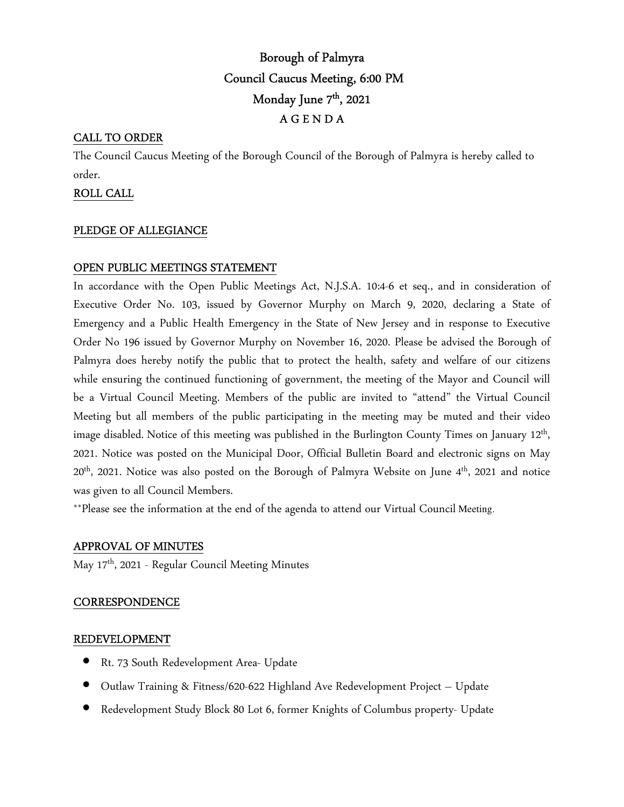# Borough of Palmyra Council Caucus Meeting, 6:00 PM Monday June 7<sup>th</sup>, 2021 A G E N D A

## CALL TO ORDER

The Council Caucus Meeting of the Borough Council of the Borough of Palmyra is hereby called to order.

### ROLL CALL

#### PLEDGE OF ALLEGIANCE

## OPEN PUBLIC MEETINGS STATEMENT

In accordance with the Open Public Meetings Act, N.J.S.A. 10:4-6 et seq., and in consideration of Executive Order No. 103, issued by Governor Murphy on March 9, 2020, declaring a State of Emergency and a Public Health Emergency in the State of New Jersey and in response to Executive Order No 196 issued by Governor Murphy on November 16, 2020. Please be advised the Borough of Palmyra does hereby notify the public that to protect the health, safety and welfare of our citizens while ensuring the continued functioning of government, the meeting of the Mayor and Council will be a Virtual Council Meeting. Members of the public are invited to "attend" the Virtual Council Meeting but all members of the public participating in the meeting may be muted and their video image disabled. Notice of this meeting was published in the Burlington County Times on January 12<sup>th</sup>, 2021. Notice was posted on the Municipal Door, Official Bulletin Board and electronic signs on May  $20<sup>th</sup>$ , 2021. Notice was also posted on the Borough of Palmyra Website on June  $4<sup>th</sup>$ , 2021 and notice was given to all Council Members.

\*\*Please see the information at the end of the agenda to attend our Virtual Council Meeting.

#### APPROVAL OF MINUTES

May 17th, 2021 - Regular Council Meeting Minutes

#### **CORRESPONDENCE**

#### REDEVELOPMENT

- Rt. 73 South Redevelopment Area- Update
- Outlaw Training & Fitness/620-622 Highland Ave Redevelopment Project Update
- Redevelopment Study Block 80 Lot 6, former Knights of Columbus property- Update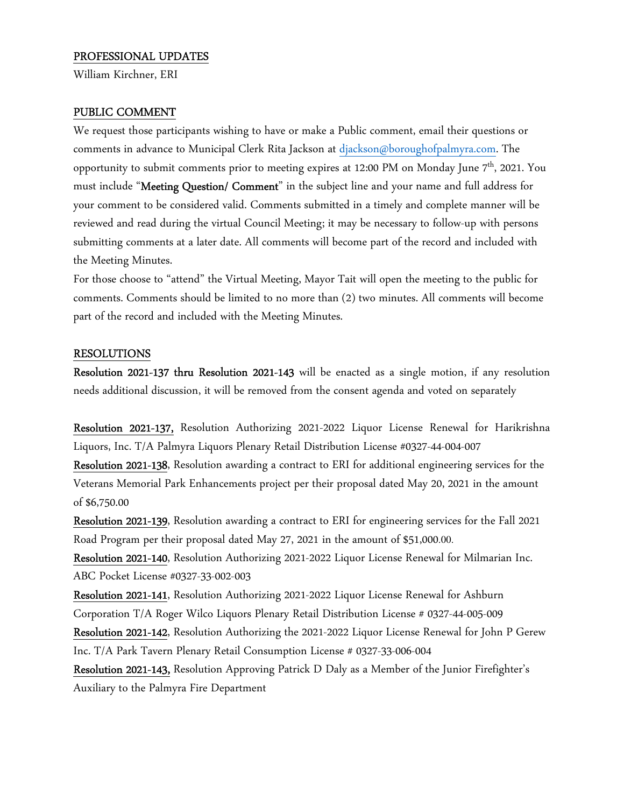#### PROFESSIONAL UPDATES

William Kirchner, ERI

#### PUBLIC COMMENT

We request those participants wishing to have or make a Public comment, email their questions or comments in advance to Municipal Clerk Rita Jackson at djackson@boroughofpalmyra.com. The opportunity to submit comments prior to meeting expires at 12:00 PM on Monday June  $7<sup>th</sup>$ , 2021. You must include "Meeting Question/ Comment" in the subject line and your name and full address for your comment to be considered valid. Comments submitted in a timely and complete manner will be reviewed and read during the virtual Council Meeting; it may be necessary to follow-up with persons submitting comments at a later date. All comments will become part of the record and included with the Meeting Minutes.

For those choose to "attend" the Virtual Meeting, Mayor Tait will open the meeting to the public for comments. Comments should be limited to no more than (2) two minutes. All comments will become part of the record and included with the Meeting Minutes.

#### RESOLUTIONS

Resolution 2021-137 thru Resolution 2021-143 will be enacted as a single motion, if any resolution needs additional discussion, it will be removed from the consent agenda and voted on separately

Resolution 2021-137, Resolution Authorizing 2021-2022 Liquor License Renewal for Harikrishna Liquors, Inc. T/A Palmyra Liquors Plenary Retail Distribution License #0327-44-004-007

Resolution 2021-138, Resolution awarding a contract to ERI for additional engineering services for the Veterans Memorial Park Enhancements project per their proposal dated May 20, 2021 in the amount of \$6,750.00

Resolution 2021-139, Resolution awarding a contract to ERI for engineering services for the Fall 2021 Road Program per their proposal dated May 27, 2021 in the amount of \$51,000.00.

Resolution 2021-140, Resolution Authorizing 2021-2022 Liquor License Renewal for Milmarian Inc. ABC Pocket License #0327-33-002-003

Resolution 2021-141, Resolution Authorizing 2021-2022 Liquor License Renewal for Ashburn Corporation T/A Roger Wilco Liquors Plenary Retail Distribution License # 0327-44-005-009

Resolution 2021-142, Resolution Authorizing the 2021-2022 Liquor License Renewal for John P Gerew Inc. T/A Park Tavern Plenary Retail Consumption License # 0327-33-006-004

Resolution 2021-143, Resolution Approving Patrick D Daly as a Member of the Junior Firefighter's Auxiliary to the Palmyra Fire Department